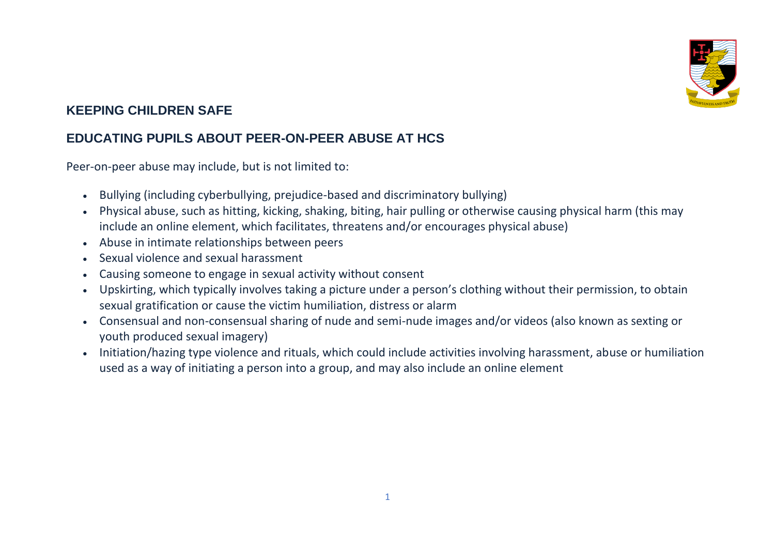

## **KEEPING CHILDREN SAFE**

## **EDUCATING PUPILS ABOUT PEER-ON-PEER ABUSE AT HCS**

Peer-on-peer abuse may include, but is not limited to:

- Bullying (including cyberbullying, prejudice-based and discriminatory bullying)
- Physical abuse, such as hitting, kicking, shaking, biting, hair pulling or otherwise causing physical harm (this may include an online element, which facilitates, threatens and/or encourages physical abuse)
- Abuse in intimate relationships between peers
- Sexual violence and sexual harassment
- Causing someone to engage in sexual activity without consent
- Upskirting, which typically involves taking a picture under a person's clothing without their permission, to obtain sexual gratification or cause the victim humiliation, distress or alarm
- Consensual and non-consensual sharing of nude and semi-nude images and/or videos (also known as sexting or youth produced sexual imagery)
- Initiation/hazing type violence and rituals, which could include activities involving harassment, abuse or humiliation used as a way of initiating a person into a group, and may also include an online element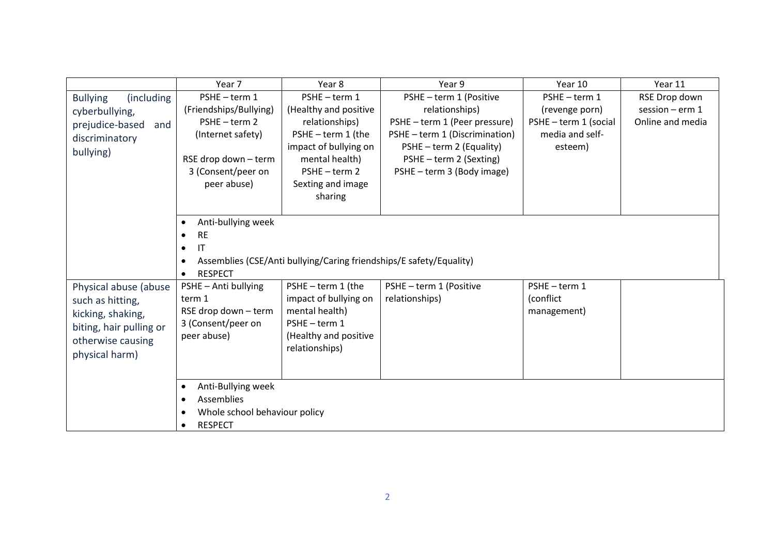|                                                                                                                                  | Year 7                                                                                                                                 | Year 8                                                                                                                                                                 | Year 9                                                                                                                                                                                            | Year 10                                                                              | Year 11                                                  |  |
|----------------------------------------------------------------------------------------------------------------------------------|----------------------------------------------------------------------------------------------------------------------------------------|------------------------------------------------------------------------------------------------------------------------------------------------------------------------|---------------------------------------------------------------------------------------------------------------------------------------------------------------------------------------------------|--------------------------------------------------------------------------------------|----------------------------------------------------------|--|
| <b>Bullying</b><br>(including)<br>cyberbullying,<br>prejudice-based<br>and<br>discriminatory<br>bullying)                        | PSHE-term 1<br>(Friendships/Bullying)<br>PSHE-term 2<br>(Internet safety)<br>RSE drop down - term<br>3 (Consent/peer on<br>peer abuse) | PSHE-term 1<br>(Healthy and positive<br>relationships)<br>PSHE - term 1 (the<br>impact of bullying on<br>mental health)<br>PSHE-term 2<br>Sexting and image<br>sharing | PSHE - term 1 (Positive<br>relationships)<br>PSHE - term 1 (Peer pressure)<br>PSHE - term 1 (Discrimination)<br>PSHE - term 2 (Equality)<br>PSHE - term 2 (Sexting)<br>PSHE - term 3 (Body image) | PSHE-term 1<br>(revenge porn)<br>PSHE - term 1 (social<br>media and self-<br>esteem) | RSE Drop down<br>session $-$ erm $1$<br>Online and media |  |
|                                                                                                                                  | Anti-bullying week<br>$\bullet$<br><b>RE</b><br>IT<br>$\bullet$<br>$\bullet$<br><b>RESPECT</b><br>$\bullet$                            | Assemblies (CSE/Anti bullying/Caring friendships/E safety/Equality)                                                                                                    |                                                                                                                                                                                                   |                                                                                      |                                                          |  |
| Physical abuse (abuse<br>such as hitting,<br>kicking, shaking,<br>biting, hair pulling or<br>otherwise causing<br>physical harm) | PSHE - Anti bullying<br>term 1<br>RSE drop down - term<br>3 (Consent/peer on<br>peer abuse)                                            | PSHE - term 1 (the<br>impact of bullying on<br>mental health)<br>PSHE-term 1<br>(Healthy and positive<br>relationships)                                                | PSHE - term 1 (Positive<br>relationships)                                                                                                                                                         | PSHE-term 1<br>(conflict<br>management)                                              |                                                          |  |
|                                                                                                                                  | Anti-Bullying week<br>٠<br>Assemblies<br>$\bullet$<br>Whole school behaviour policy<br>$\bullet$<br><b>RESPECT</b><br>$\bullet$        |                                                                                                                                                                        |                                                                                                                                                                                                   |                                                                                      |                                                          |  |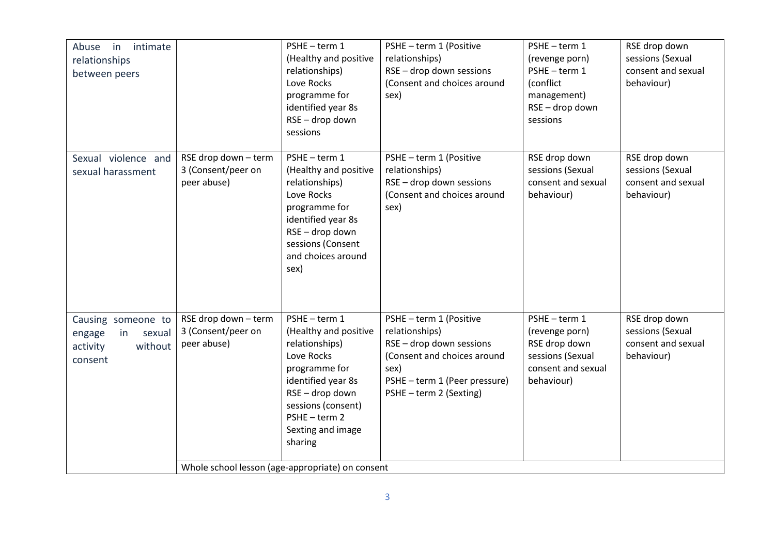| $\mathsf{in}$<br>intimate<br>Abuse<br>relationships<br>between peers           |                                                                                                               | PSHE-term 1<br>(Healthy and positive<br>relationships)<br>Love Rocks<br>programme for<br>identified year 8s<br>RSE - drop down<br>sessions                                                        | PSHE - term 1 (Positive<br>relationships)<br>RSE - drop down sessions<br>(Consent and choices around<br>sex)                                                             | PSHE-term 1<br>(revenge porn)<br>PSHE-term 1<br>(conflict<br>management)<br>RSE - drop down<br>sessions | RSE drop down<br>sessions (Sexual<br>consent and sexual<br>behaviour) |
|--------------------------------------------------------------------------------|---------------------------------------------------------------------------------------------------------------|---------------------------------------------------------------------------------------------------------------------------------------------------------------------------------------------------|--------------------------------------------------------------------------------------------------------------------------------------------------------------------------|---------------------------------------------------------------------------------------------------------|-----------------------------------------------------------------------|
| Sexual violence and<br>sexual harassment                                       | RSE drop down - term<br>3 (Consent/peer on<br>peer abuse)                                                     | PSHE-term 1<br>(Healthy and positive<br>relationships)<br>Love Rocks<br>programme for<br>identified year 8s<br>RSE - drop down<br>sessions (Consent<br>and choices around<br>sex)                 | PSHE - term 1 (Positive<br>relationships)<br>RSE - drop down sessions<br>(Consent and choices around<br>sex)                                                             | RSE drop down<br>sessions (Sexual<br>consent and sexual<br>behaviour)                                   | RSE drop down<br>sessions (Sexual<br>consent and sexual<br>behaviour) |
| Causing someone to<br>in<br>engage<br>sexual<br>without<br>activity<br>consent | RSE drop down - term<br>3 (Consent/peer on<br>peer abuse)<br>Whole school lesson (age-appropriate) on consent | PSHE-term 1<br>(Healthy and positive<br>relationships)<br>Love Rocks<br>programme for<br>identified year 8s<br>RSE-drop down<br>sessions (consent)<br>PSHE-term 2<br>Sexting and image<br>sharing | PSHE - term 1 (Positive<br>relationships)<br>RSE - drop down sessions<br>(Consent and choices around<br>sex)<br>PSHE - term 1 (Peer pressure)<br>PSHE - term 2 (Sexting) | PSHE-term 1<br>(revenge porn)<br>RSE drop down<br>sessions (Sexual<br>consent and sexual<br>behaviour)  | RSE drop down<br>sessions (Sexual<br>consent and sexual<br>behaviour) |